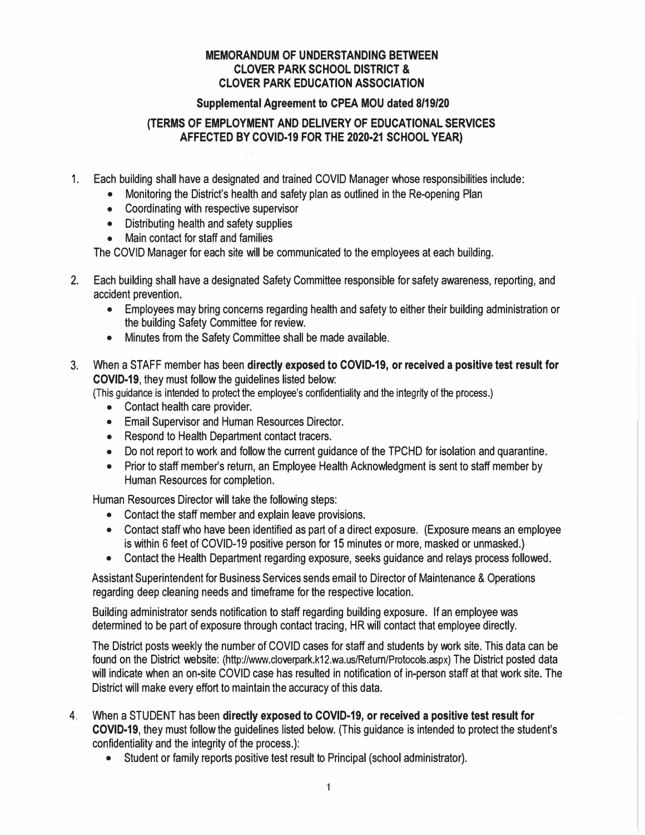### **MEMORANDUM OF UNDERSTANDING BETWEEN CLOVER PARK SCHOOL DISTRICT** & **CLOVER PARK EDUCATION ASSOCIATION**

#### **Supplemental Agreement to CPEA MOU dated 8/19/20**

### **{TERMS OF EMPLOYMENT AND DELIVERY OF EDUCATIONAL SERVICES AFFECTED BY COVID-19 FOR THE 2020-21 SCHOOL YEAR)**

- 1. Each building shall have a designated and trained COVID Manager whose responsibilities include:
	- Monitoring the District's health and safety plan as outlined in the Re-opening Plan
	- Coordinating with respective supervisor
	- Distributing health and safety supplies
	- Main contact for staff and families

The COVID Manager for each site will be communicated to the employees at each building.

- 2. Each building shall have a designated Safety Committee responsible for safety awareness, reporting, and accident prevention.
	- Employees may bring concerns regarding health and safety to either their building administration or the building Safety Committee for review.
	- Minutes from the Safety Committee shall be made available.
- 3. When a STAFF member has been **directly exposed to COVID-19, or received a positive test result for COVID-19,** they must follow the guidelines listed below:

(This guidance is intended to protect the employee's confidentiality and the integrity of the process.)

- Contact health care provider.
- Email Supervisor and Human Resources Director.
- Respond to Health Department contact tracers.
- Do not report to work and follow the current guidance of the TPCHD for isolation and quarantine.
- Prior to staff member's return, an Employee Health Acknowledgment is sent to staff member by Human Resources for completion.

Human Resources Director will take the following steps:

- Contact the staff member and explain leave provisions.
- Contact staff who have been identified as part of a direct exposure. (Exposure means an employee is within 6 feet of COVID-19 positive person for 15 minutes or more, masked or unmasked.)
- Contact the Health Department regarding exposure, seeks guidance and relays process followed.

Assistant Superintendent for Business Services sends email to Director of Maintenance & Operations regarding deep cleaning needs and timeframe for the respective location.

Building administrator sends notification to staff regarding building exposure. If an employee was determined to be part of exposure through contact tracing, HR will contact that employee directly.

The District posts weekly the number of COVID cases for staff and students by work site. This data can be found on the District website: [\(http://www.cloverpark.k12.wa.us/Return/Protocols.aspx](http://www.cloverpark.k12.wa.us/Return/Protocols.aspx)) The District posted data will indicate when an on-site COVID case has resulted in notification of in-person staff at that work site. The District will make every effort to maintain the accuracy of this data.

- 4. When a STUDENT has been **directly exposed to COVID-19, or received a positive test result for COVID-19,** they must follow the guidelines listed below. (This guidance is intended to protect the student's confidentiality and the integrity of the process.):
	- Student or family reports positive test result to Principal (school administrator).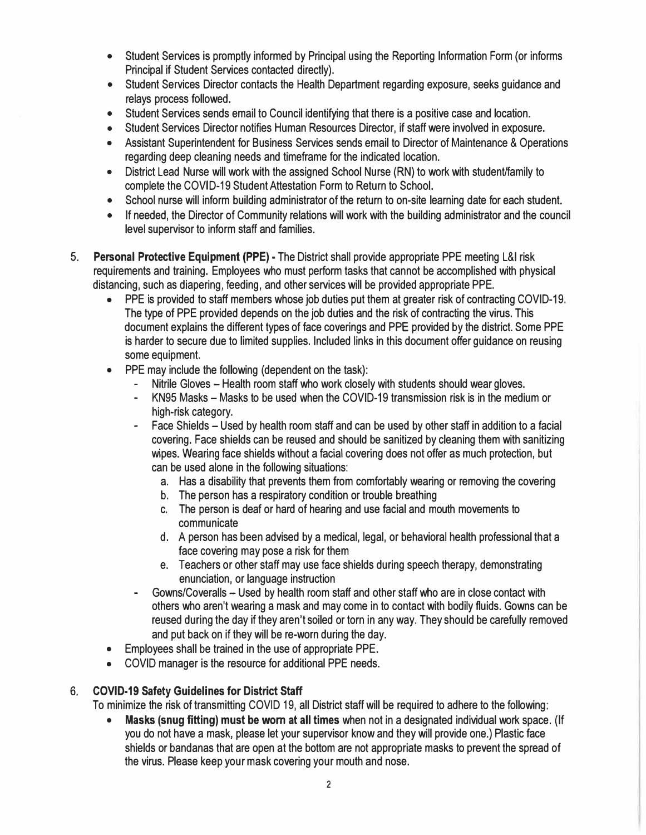- Student Services is promptly informed by Principal using the Reporting Information Form (or informs Principal if Student Services contacted directly).
- Student Services Director contacts the Health Department regarding exposure, seeks guidance and relays process followed.
- 
- 
- Student Services sends email to Council identifying that there is a positive case and location.<br>• Student Services Director notifies Human Resources Director, if staff were involved in exposure.<br>• Assistant Superintenden
- District Lead Nurse will work with the assigned School Nurse (RN) to work with student/family to complete the COVID-19 Student Attestation Form to Return to School.
- School nurse will inform building administrator of the return to on-site learning date for each student.<br>• If needed, the Director of Community relations will work with the building administrator and the council
- level supervisor to inform staff and families.
- 5. **Personal Protective Equipment (PPE)**  The District shall provide appropriate PPE meeting L&I risk requirements and training. Employees who must perform tasks that cannot be accomplished with physical distancing, such as diapering, feeding, and other services will be provided appropriate PPE.
	- $\bullet$  PPE is provided to staff members whose job duties put them at greater risk of contracting COVID-19. The type of PPE provided depends on the job duties and the risk of contracting the virus. This document explains the different types of face coverings and PPE provided by the district. Some PPE is harder to secure due to limited supplies. Included links in this document offer guidance on reusing
	- -
	- PPE may include the following (dependent on the task):<br>- Nitrile Gloves Health room staff who work closely with students should wear gloves.<br>- KN95 Masks Masks to be used when the COVID-19 transmission risk is in the
		- Face Shields Used by health room staff and can be used by other staff in addition to a facial covering. Face shields can be reused and should be sanitized by cleaning them with sanitizing wipes. Wearing face shields without a facial covering does not offer as much protection, but can be used alone in the following situations:
			- a. Has a disability that prevents them from comfortably wearing or removing the covering
			- b. The person has a respiratory condition or trouble breathing
			- c. The person is deaf or hard of hearing and use facial and mouth movements to communicate
			- d. A person has been advised by a medical, legal, or behavioral health professional that a face covering may pose a risk for them
			- e. Teachers or other staff may use face shields during speech therapy, demonstrating
		- Gowns/Coveralls Used by health room staff and other staff who are in close contact with others who aren't wearing a mask and may come in to contact with bodily fluids. Gowns can be reused during the day if they aren't soiled or torn in any way. They should be carefully removed
	- and put back on if they will be re-worn during the day.<br>• Employees shall be trained in the use of appropriate PPE.<br>• COVID manager is the resource for additional PPE needs.
	-

# **6. COVID-19 Safety Guidelines for District Staff**

To minimize the risk of transmitting COVID 19, all District staff will be required to adhere to the following: • **Masks (snug fitting) must be worn at all times** when not in a designated individual work space. (If

you do not have a mask, please let your supervisor know and they will provide one.) Plastic face shields or bandanas that are open at the bottom are not appropriate masks to prevent the spread of the virus. Please keep your mask covering your mouth and nose.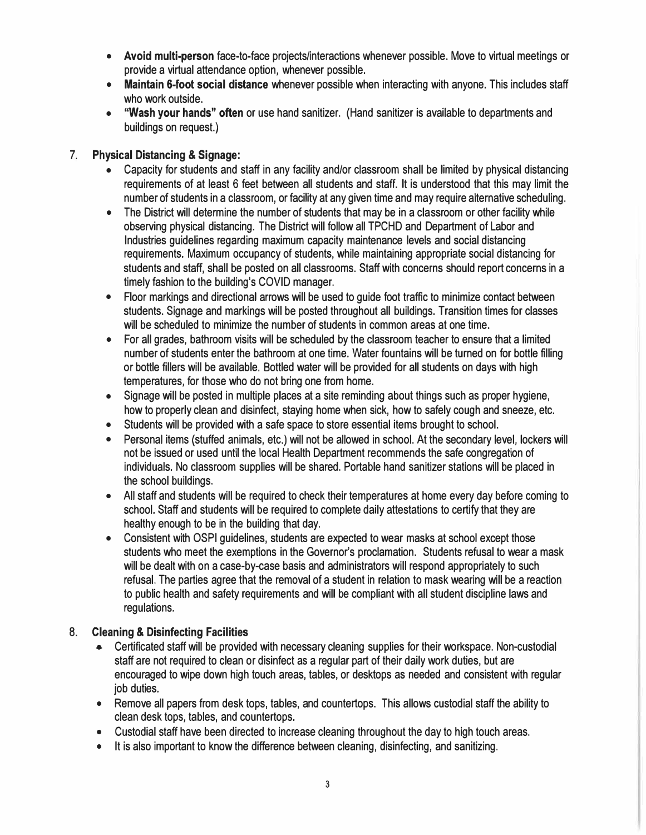- **Avoid multi-person** face-to-face projects/interactions whenever possible. Move to virtual meetings or
- Maintain 6-foot social distance whenever possible when interacting with anyone. This includes staff
- who work outside.<br> **"Wash your hands" often** or use hand sanitizer. (Hand sanitizer is available to departments and buildings on request.)

### **7. Physical Distancing & Signage:**

- Capacity for students and staff in any facility and/or classroom shall be limited by physical distancing requirements of at least 6 feet between all students and staff. It is understood that this may limit the number of students in a classroom, or facility at any given time and may require alternative scheduling.
- $\bullet$  The District will determine the number of students that may be in a classroom or other facility while observing physical distancing. The District will follow all TPCHD and Department of Labor and Industries guidelines regarding maximum capacity maintenance levels and social distancing requirements. Maximum occupancy of students, while maintaining appropriate social distancing for students and staff, shall be posted on all classrooms. Staff with concerns should report concerns in a timely fashion to the building's COVID manager.
- Floor markings and directional arrows will be used to guide foot traffic to minimize contact between students. Signage and markings will be posted throughout all buildings. Transition times for classes
- For all grades, bathroom visits will be scheduled by the classroom teacher to ensure that a limited number of students enter the bathroom at one time. Water fountains will be turned on for bottle filling or bottle fillers will be available. Bottled water will be provided for all students on days with high
- Signage will be posted in multiple places at a site reminding about things such as proper hygiene,<br>how to properly clean and disinfect, staying home when sick, how to safely cough and sneeze, etc.
- 
- Students will be provided with a safe space to store essential items brought to school.<br>• Personal items (stuffed animals, etc.) will not be allowed in school. At the secondary level, lockers will not be issued or used until the local Health Department recommends the safe congregation of individuals. No classroom supplies will be shared. Portable hand sanitizer stations will be placed in
- the school buildings. All staff and students will be required to check their temperatures at home every day before coming to school. Staff and students will be required to complete daily attestations to certify that they are healthy enough to be in the building that day. • Consistent with OSPI guidelines, students are expected to wear masks at school except those
- students who meet the exemptions in the Governor's proclamation. Students refusal to wear a mask will be dealt with on a case-by-case basis and administrators will respond appropriately to such refusal. The parties agree that the removal of a student in relation to mask wearing will be a reaction to public health and safety requirements and will be compliant with all student discipline laws and regulations.

# **8. Cleaning & Disinfecting Facilities**

- Certificated staff will be provided with necessary cleaning supplies for their workspace. Non-custodial staff are not required to clean or disinfect as a regular part of their daily work duties, but are encouraged to wipe down high touch areas, tables, or desktops as needed and consistent with regular
- Remove all papers from desk tops, tables, and countertops. This allows custodial staff the ability to clean desk tops, tables, and countertops.
- Custodial staff have been directed to increase cleaning throughout the day to high touch areas.<br>• It is also important to know the difference between cleaning, disinfecting, and sanitizing.
-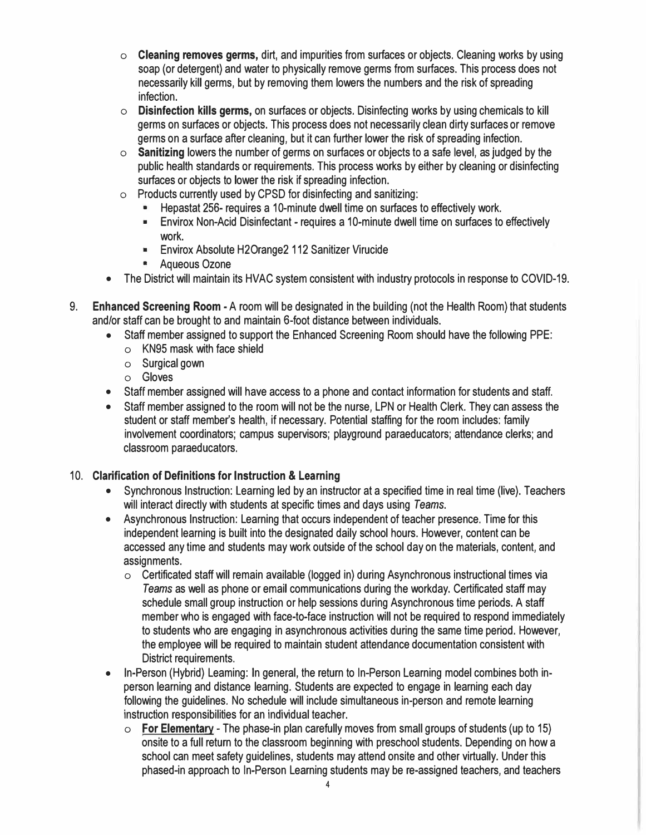- **o Cleaning removes germs,** dirt, and impurities from surfaces or objects. Cleaning works by using soap (or detergent) and water to physically remove germs from surfaces. This process does not necessarily kill germs, but by removing them lowers the numbers and the risk of spreading infection.
- o **Disinfection kills germs,** on surfaces or objects. Disinfecting works by using chemicals to kill germs on surfaces or objects. This process does not necessarily clean dirty surfaces or remove germs on a surface after cleaning, but it can further lower the risk of spreading infection.
- o **Sanitizing** lowers the number of germs on surfaces or objects to a safe level, as judged by the public health standards or requirements. This process works by either by cleaning or disinfecting surfaces or objects to lower the risk if spreading infection.
- o Products currently used by CPSD for disinfecting and sanitizing:
	- Hepastat 256- requires a 10-minute dwell time on surfaces to effectively work.
	- Envirox Non-Acid Disinfectant requires a 10-minute dwell time on surfaces to effectively work.
	- Envirox Absolute H2Orange2 112 Sanitizer Virucide
	- Aqueous Ozone
- The District will maintain its HVAC system consistent with industry protocols in response to COVID-19.
- 9. **Enhanced Screening Room**  A room will be designated in the building (not the Health Room) that students and/or staff can be brought to and maintain 6-foot distance between individuals.
	- Staff member assigned to support the Enhanced Screening Room should have the following PPE:
		- **o** KN95 mask with face shield
		- **o** Surgical gown
		- o Gloves
	- Staff member assigned will have access to a phone and contact information for students and staff.
	- Staff member assigned to the room will not be the nurse, LPN or Health Clerk. They can assess the student or staff member's health, if necessary. Potential staffing for the room includes: family involvement coordinators; campus supervisors; playground paraeducators; attendance clerks; and classroom paraeducators.

### 10. **Clarification of Definitions for Instruction** & **Leaming**

- Synchronous Instruction: Learning led by an instructor at a specified time in real time (live). Teachers will interact directly with students at specific times and days using *Teams.*
- Asynchronous Instruction: Learning that occurs independent of teacher presence. Time for this independent learning is built into the designated daily school hours. However, content can be accessed any time and students may work outside of the school day on the materials, content, and assignments.
	- **o** Certificated staff will remain available (logged in) during Asynchronous instructional times via *Teams* as well as phone or email communications during the workday. Certificated staff may schedule small group instruction or help sessions during Asynchronous time periods. A staff member who is engaged with face-to-face instruction will not be required to respond immediately to students who are engaging in asynchronous activities during the same time period. However, the employee will be required to maintain student attendance documentation consistent with District requirements.
- In-Person (Hybrid) Leaming: In general, the return to In-Person Learning model combines both inperson learning and distance learning. Students are expected to engage in learning each day following the guidelines. No schedule will include simultaneous in-person and remote learning instruction responsibilities for an individual teacher.
	- **o For Elementary**  The phase-in plan carefully moves from small groups of students (up to 15) onsite to a full return to the classroom beginning with preschool students. Depending on how a school can meet safety guidelines, students may attend onsite and other virtually. Under this phased-in approach to In-Person Learning students may be re-assigned teachers, and teachers